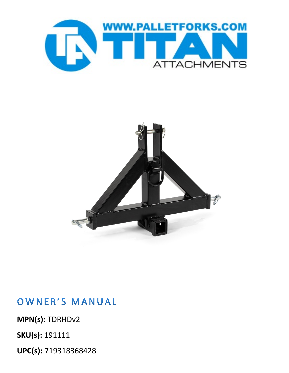**UPC(s):** 719318368428

**SKU(s):** 191111

**MPN(s):** TDRHDv2

OWNER'S MANUAL



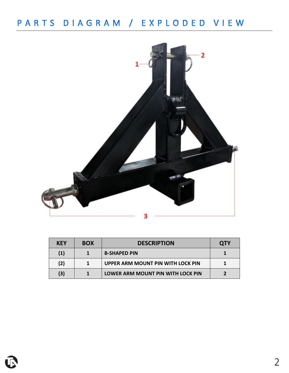## PARTS DIAGRAM / EXPLODED VIEW



| <b>KEY</b> | <b>BOX</b> | <b>DESCRIPTION</b>                | <b>QTY</b> |
|------------|------------|-----------------------------------|------------|
| (1)        |            | <b>B-SHAPED PIN</b>               |            |
| (2)        |            | UPPER ARM MOUNT PIN WITH LOCK PIN |            |
| (3)        |            | LOWER ARM MOUNT PIN WITH LOCK PIN |            |